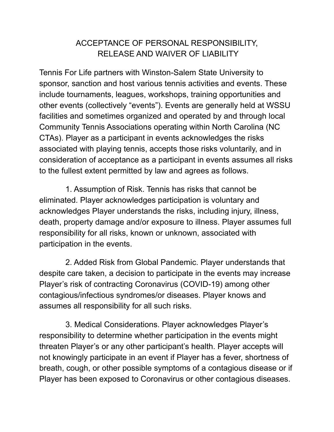## ACCEPTANCE OF PERSONAL RESPONSIBILITY, RELEASE AND WAIVER OF LIABILITY

Tennis For Life partners with Winston-Salem State University to sponsor, sanction and host various tennis activities and events. These include tournaments, leagues, workshops, training opportunities and other events (collectively "events"). Events are generally held at WSSU facilities and sometimes organized and operated by and through local Community Tennis Associations operating within North Carolina (NC CTAs). Player as a participant in events acknowledges the risks associated with playing tennis, accepts those risks voluntarily, and in consideration of acceptance as a participant in events assumes all risks to the fullest extent permitted by law and agrees as follows.

1. Assumption of Risk. Tennis has risks that cannot be eliminated. Player acknowledges participation is voluntary and acknowledges Player understands the risks, including injury, illness, death, property damage and/or exposure to illness. Player assumes full responsibility for all risks, known or unknown, associated with participation in the events.

2. Added Risk from Global Pandemic. Player understands that despite care taken, a decision to participate in the events may increase Player's risk of contracting Coronavirus (COVID-19) among other contagious/infectious syndromes/or diseases. Player knows and assumes all responsibility for all such risks.

3. Medical Considerations. Player acknowledges Player's responsibility to determine whether participation in the events might threaten Player's or any other participant's health. Player accepts will not knowingly participate in an event if Player has a fever, shortness of breath, cough, or other possible symptoms of a contagious disease or if Player has been exposed to Coronavirus or other contagious diseases.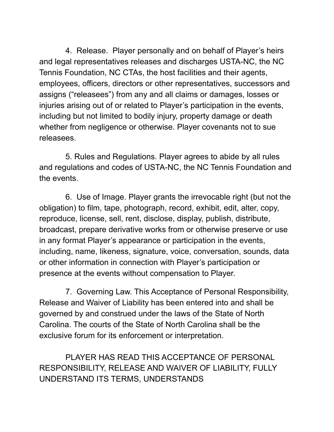4. Release. Player personally and on behalf of Player's heirs and legal representatives releases and discharges USTA-NC, the NC Tennis Foundation, NC CTAs, the host facilities and their agents, employees, officers, directors or other representatives, successors and assigns ("releasees") from any and all claims or damages, losses or injuries arising out of or related to Player's participation in the events, including but not limited to bodily injury, property damage or death whether from negligence or otherwise. Player covenants not to sue releasees.

5. Rules and Regulations. Player agrees to abide by all rules and regulations and codes of USTA-NC, the NC Tennis Foundation and the events.

6. Use of Image. Player grants the irrevocable right (but not the obligation) to film, tape, photograph, record, exhibit, edit, alter, copy, reproduce, license, sell, rent, disclose, display, publish, distribute, broadcast, prepare derivative works from or otherwise preserve or use in any format Player's appearance or participation in the events, including, name, likeness, signature, voice, conversation, sounds, data or other information in connection with Player's participation or presence at the events without compensation to Player.

7. Governing Law. This Acceptance of Personal Responsibility, Release and Waiver of Liability has been entered into and shall be governed by and construed under the laws of the State of North Carolina. The courts of the State of North Carolina shall be the exclusive forum for its enforcement or interpretation.

PLAYER HAS READ THIS ACCEPTANCE OF PERSONAL RESPONSIBILITY, RELEASE AND WAIVER OF LIABILITY, FULLY UNDERSTAND ITS TERMS, UNDERSTANDS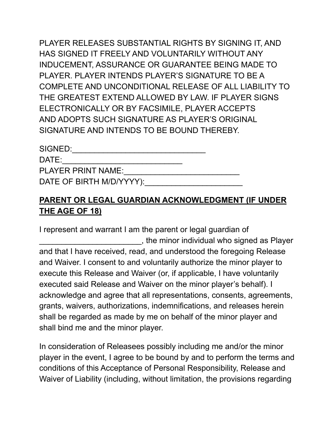PLAYER RELEASES SUBSTANTIAL RIGHTS BY SIGNING IT, AND HAS SIGNED IT FREELY AND VOLUNTARILY WITHOUT ANY INDUCEMENT, ASSURANCE OR GUARANTEE BEING MADE TO PLAYER. PLAYER INTENDS PLAYER'S SIGNATURE TO BE A COMPLETE AND UNCONDITIONAL RELEASE OF ALL LIABILITY TO THE GREATEST EXTEND ALLOWED BY LAW. IF PLAYER SIGNS ELECTRONICALLY OR BY FACSIMILE, PLAYER ACCEPTS AND ADOPTS SUCH SIGNATURE AS PLAYER'S ORIGINAL SIGNATURE AND INTENDS TO BE BOUND THEREBY.

| SIGNED:                   |  |
|---------------------------|--|
| DATE:                     |  |
| <b>PLAYER PRINT NAME:</b> |  |
| DATE OF BIRTH M/D/YYYY):  |  |

## **PARENT OR LEGAL GUARDIAN ACKNOWLEDGMENT (IF UNDER THE AGE OF 18)**

I represent and warrant I am the parent or legal guardian of \_\_\_\_\_\_\_\_\_\_\_\_\_\_\_\_\_\_\_\_\_\_\_, the minor individual who signed as Player and that I have received, read, and understood the foregoing Release and Waiver. I consent to and voluntarily authorize the minor player to execute this Release and Waiver (or, if applicable, I have voluntarily executed said Release and Waiver on the minor player's behalf). I acknowledge and agree that all representations, consents, agreements, grants, waivers, authorizations, indemnifications, and releases herein shall be regarded as made by me on behalf of the minor player and shall bind me and the minor player.

In consideration of Releasees possibly including me and/or the minor player in the event, I agree to be bound by and to perform the terms and conditions of this Acceptance of Personal Responsibility, Release and Waiver of Liability (including, without limitation, the provisions regarding